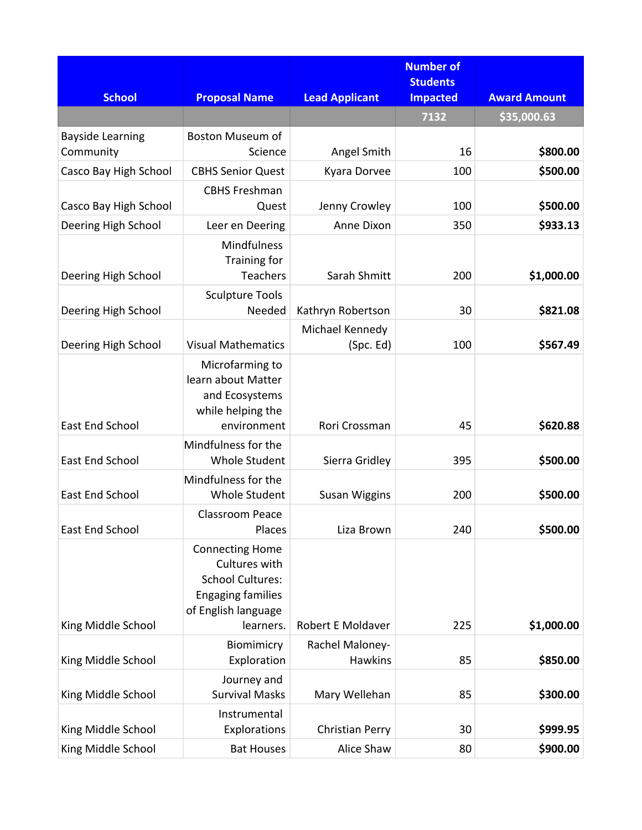| <b>School</b>                        | <b>Proposal Name</b>                                                                                                               | <b>Lead Applicant</b>             | <b>Number of</b><br><b>Students</b><br><b>Impacted</b> | <b>Award Amount</b> |
|--------------------------------------|------------------------------------------------------------------------------------------------------------------------------------|-----------------------------------|--------------------------------------------------------|---------------------|
|                                      |                                                                                                                                    |                                   | 7132                                                   | \$35,000.63         |
| <b>Bayside Learning</b><br>Community | <b>Boston Museum of</b><br>Science                                                                                                 | Angel Smith                       | 16                                                     | \$800.00            |
| Casco Bay High School                | <b>CBHS Senior Quest</b>                                                                                                           | Kyara Dorvee                      | 100                                                    | \$500.00            |
| Casco Bay High School                | <b>CBHS Freshman</b><br>Quest                                                                                                      | Jenny Crowley                     | 100                                                    | \$500.00            |
| Deering High School                  | Leer en Deering                                                                                                                    | Anne Dixon                        | 350                                                    | \$933.13            |
| Deering High School                  | Mindfulness<br>Training for<br><b>Teachers</b>                                                                                     | Sarah Shmitt                      | 200                                                    | \$1,000.00          |
| Deering High School                  | <b>Sculpture Tools</b><br>Needed                                                                                                   | Kathryn Robertson                 | 30                                                     | \$821.08            |
| Deering High School                  | <b>Visual Mathematics</b>                                                                                                          | Michael Kennedy<br>(Spc. Ed)      | 100                                                    | \$567.49            |
| <b>East End School</b>               | Microfarming to<br>learn about Matter<br>and Ecosystems<br>while helping the<br>environment                                        | Rori Crossman                     | 45                                                     | \$620.88            |
| <b>East End School</b>               | Mindfulness for the<br><b>Whole Student</b>                                                                                        | Sierra Gridley                    | 395                                                    | \$500.00            |
| <b>East End School</b>               | Mindfulness for the<br><b>Whole Student</b>                                                                                        | <b>Susan Wiggins</b>              | 200                                                    | \$500.00            |
| <b>East End School</b>               | <b>Classroom Peace</b><br>Places                                                                                                   | Liza Brown                        | 240                                                    | \$500.00            |
| King Middle School                   | <b>Connecting Home</b><br>Cultures with<br><b>School Cultures:</b><br><b>Engaging families</b><br>of English language<br>learners. | <b>Robert E Moldaver</b>          | 225                                                    | \$1,000.00          |
| King Middle School                   | Biomimicry<br>Exploration                                                                                                          | Rachel Maloney-<br><b>Hawkins</b> | 85                                                     | \$850.00            |
| King Middle School                   | Journey and<br><b>Survival Masks</b>                                                                                               | Mary Wellehan                     | 85                                                     | \$300.00            |
| King Middle School                   | Instrumental<br>Explorations                                                                                                       | <b>Christian Perry</b>            | 30                                                     | \$999.95            |
| King Middle School                   | <b>Bat Houses</b>                                                                                                                  | Alice Shaw                        | 80                                                     | \$900.00            |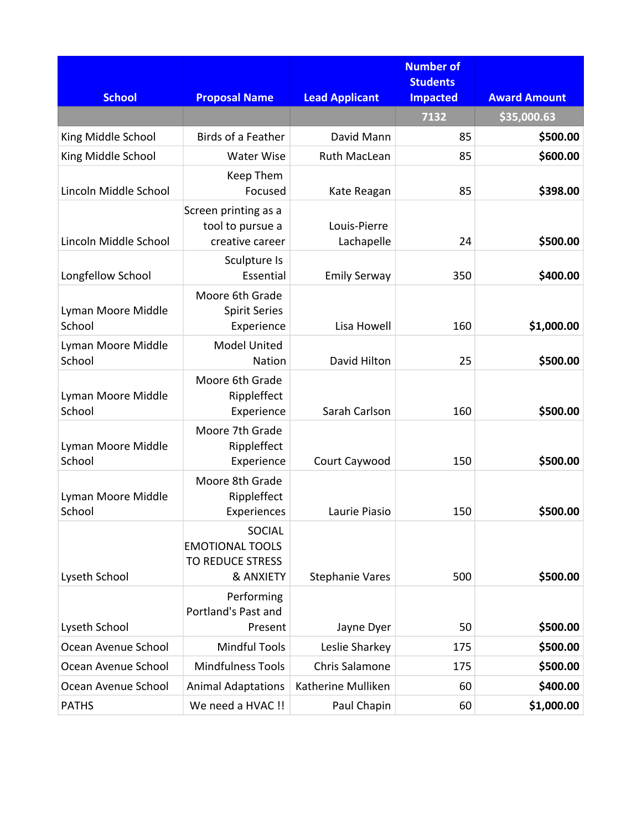| <b>School</b>                | <b>Proposal Name</b>                                                     | <b>Lead Applicant</b>      | <b>Number of</b><br><b>Students</b><br><b>Impacted</b> | <b>Award Amount</b> |
|------------------------------|--------------------------------------------------------------------------|----------------------------|--------------------------------------------------------|---------------------|
|                              |                                                                          |                            | 7132                                                   | \$35,000.63         |
| King Middle School           | Birds of a Feather                                                       | David Mann                 | 85                                                     | \$500.00            |
| King Middle School           | <b>Water Wise</b>                                                        | <b>Ruth MacLean</b>        | 85                                                     | \$600.00            |
| Lincoln Middle School        | Keep Them<br>Focused                                                     | Kate Reagan                | 85                                                     | \$398.00            |
| Lincoln Middle School        | Screen printing as a<br>tool to pursue a<br>creative career              | Louis-Pierre<br>Lachapelle | 24                                                     | \$500.00            |
| Longfellow School            | Sculpture Is<br>Essential                                                | <b>Emily Serway</b>        | 350                                                    | \$400.00            |
| Lyman Moore Middle<br>School | Moore 6th Grade<br><b>Spirit Series</b><br>Experience                    | Lisa Howell                | 160                                                    | \$1,000.00          |
| Lyman Moore Middle<br>School | <b>Model United</b><br><b>Nation</b>                                     | David Hilton               | 25                                                     | \$500.00            |
| Lyman Moore Middle<br>School | Moore 6th Grade<br>Rippleffect<br>Experience                             | Sarah Carlson              | 160                                                    | \$500.00            |
| Lyman Moore Middle<br>School | Moore 7th Grade<br>Rippleffect<br>Experience                             | Court Caywood              | 150                                                    | \$500.00            |
| Lyman Moore Middle<br>School | Moore 8th Grade<br>Rippleffect<br>Experiences                            | Laurie Piasio              | 150                                                    | \$500.00            |
| Lyseth School                | SOCIAL<br><b>EMOTIONAL TOOLS</b><br><b>TO REDUCE STRESS</b><br>& ANXIETY | <b>Stephanie Vares</b>     | 500                                                    | \$500.00            |
| Lyseth School                | Performing<br>Portland's Past and<br>Present                             | Jayne Dyer                 | 50                                                     | \$500.00            |
| Ocean Avenue School          | <b>Mindful Tools</b>                                                     | Leslie Sharkey             | 175                                                    | \$500.00            |
| Ocean Avenue School          | <b>Mindfulness Tools</b>                                                 | Chris Salamone             | 175                                                    | \$500.00            |
| Ocean Avenue School          | <b>Animal Adaptations</b>                                                | Katherine Mulliken         | 60                                                     | \$400.00            |
| <b>PATHS</b>                 | We need a HVAC !!                                                        | Paul Chapin                | 60                                                     | \$1,000.00          |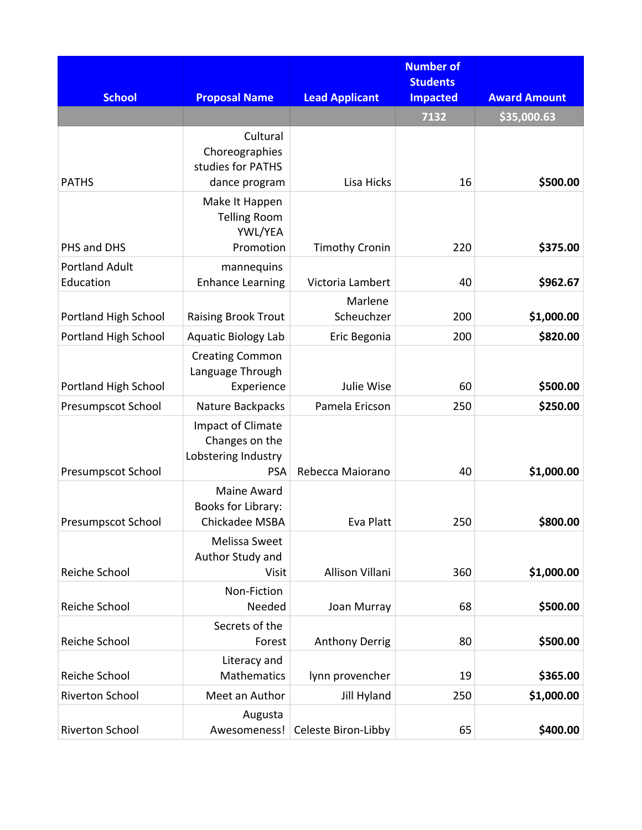| <b>School</b>                      | <b>Proposal Name</b>                                                     | <b>Lead Applicant</b> | <b>Number of</b><br><b>Students</b><br><b>Impacted</b> | <b>Award Amount</b> |
|------------------------------------|--------------------------------------------------------------------------|-----------------------|--------------------------------------------------------|---------------------|
|                                    |                                                                          |                       | 7132                                                   | \$35,000.63         |
| <b>PATHS</b>                       | Cultural<br>Choreographies<br>studies for PATHS<br>dance program         | Lisa Hicks            | 16                                                     | \$500.00            |
|                                    | Make It Happen<br><b>Telling Room</b><br>YWL/YEA                         |                       |                                                        |                     |
| PHS and DHS                        | Promotion                                                                | <b>Timothy Cronin</b> | 220                                                    | \$375.00            |
| <b>Portland Adult</b><br>Education | mannequins<br><b>Enhance Learning</b>                                    | Victoria Lambert      | 40                                                     | \$962.67            |
|                                    |                                                                          | Marlene               |                                                        |                     |
| Portland High School               | <b>Raising Brook Trout</b>                                               | Scheuchzer            | 200                                                    | \$1,000.00          |
| Portland High School               | <b>Aquatic Biology Lab</b>                                               | Eric Begonia          | 200                                                    | \$820.00            |
| Portland High School               | <b>Creating Common</b><br>Language Through<br>Experience                 | Julie Wise            | 60                                                     | \$500.00            |
| <b>Presumpscot School</b>          | Nature Backpacks                                                         | Pamela Ericson        | 250                                                    | \$250.00            |
| <b>Presumpscot School</b>          | Impact of Climate<br>Changes on the<br>Lobstering Industry<br><b>PSA</b> | Rebecca Maiorano      | 40                                                     | \$1,000.00          |
| Presumpscot School                 | Maine Award<br>Books for Library:<br>Chickadee MSBA                      | Eva Platt             | 250                                                    | \$800.00            |
| Reiche School                      | Melissa Sweet<br>Author Study and<br>Visit                               | Allison Villani       | 360                                                    | \$1,000.00          |
| Reiche School                      | Non-Fiction<br>Needed                                                    | Joan Murray           | 68                                                     | \$500.00            |
| Reiche School                      | Secrets of the<br>Forest                                                 | <b>Anthony Derrig</b> | 80                                                     | \$500.00            |
| Reiche School                      | Literacy and<br><b>Mathematics</b>                                       | lynn provencher       | 19                                                     | \$365.00            |
| Riverton School                    | Meet an Author                                                           | <b>Jill Hyland</b>    | 250                                                    | \$1,000.00          |
| Riverton School                    | Augusta<br>Awesomeness!                                                  | Celeste Biron-Libby   | 65                                                     | \$400.00            |